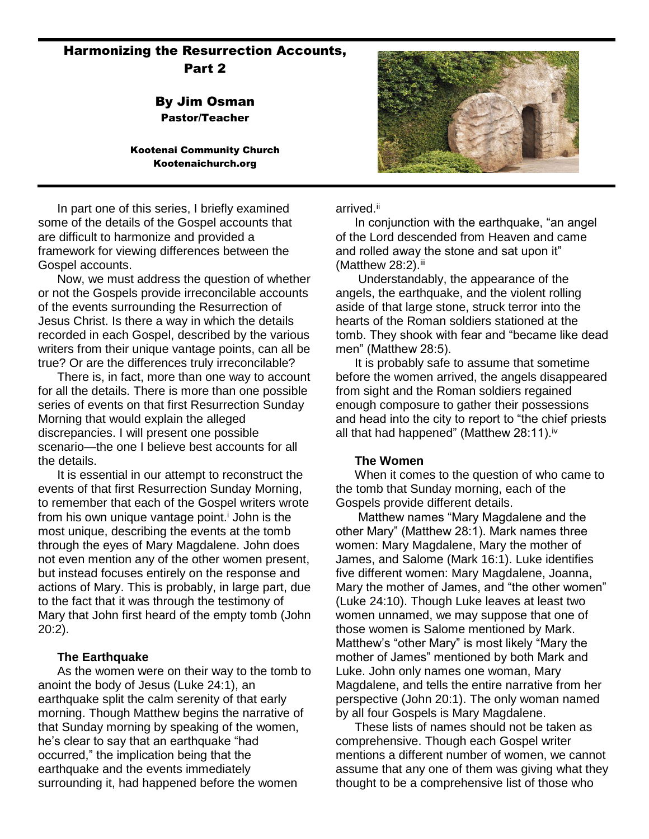# Harmonizing the Resurrection Accounts, Part 2

By Jim Osman Pastor/Teacher

#### Kootenai Community Church Kootenaichurch.org



In part one of this series, I briefly examined some of the details of the Gospel accounts that are difficult to harmonize and provided a framework for viewing differences between the Gospel accounts.

Now, we must address the question of whether or not the Gospels provide irreconcilable accounts of the events surrounding the Resurrection of Jesus Christ. Is there a way in which the details recorded in each Gospel, described by the various writers from their unique vantage points, can all be true? Or are the differences truly irreconcilable?

There is, in fact, more than one way to account for all the details. There is more than one possible series of events on that first Resurrection Sunday Morning that would explain the alleged discrepancies. I will present one possible scenario—the one I believe best accounts for all the details.

It is essential in our attempt to reconstruct the events of that first Resurrection Sunday Morning, to remember that each of the Gospel writers wrote from his own unique vantage point.<sup> $\mathbf{i}$ </sup> John is the most unique, describing the events at the tomb through the eyes of Mary Magdalene. John does not even mention any of the other women present, but instead focuses entirely on the response and actions of Mary. This is probably, in large part, due to the fact that it was through the testimony of Mary that John first heard of the empty tomb (John 20:2).

### **The Earthquake**

As the women were on their way to the tomb to anoint the body of Jesus (Luke 24:1), an earthquake split the calm serenity of that early morning. Though Matthew begins the narrative of that Sunday morning by speaking of the women, he's clear to say that an earthquake "had occurred," the implication being that the earthquake and the events immediately surrounding it, had happened before the women

arrived.<sup>ii</sup>

In conjunction with the earthquake, "an angel of the Lord descended from Heaven and came and rolled away the stone and sat upon it" (Matthew 28:2). iii

Understandably, the appearance of the angels, the earthquake, and the violent rolling aside of that large stone, struck terror into the hearts of the Roman soldiers stationed at the tomb. They shook with fear and "became like dead men" (Matthew 28:5).

It is probably safe to assume that sometime before the women arrived, the angels disappeared from sight and the Roman soldiers regained enough composure to gather their possessions and head into the city to report to "the chief priests all that had happened" (Matthew  $28:11$ ).<sup>iv</sup>

### **The Women**

When it comes to the question of who came to the tomb that Sunday morning, each of the Gospels provide different details.

Matthew names "Mary Magdalene and the other Mary" (Matthew 28:1). Mark names three women: Mary Magdalene, Mary the mother of James, and Salome (Mark 16:1). Luke identifies five different women: Mary Magdalene, Joanna, Mary the mother of James, and "the other women" (Luke 24:10). Though Luke leaves at least two women unnamed, we may suppose that one of those women is Salome mentioned by Mark. Matthew's "other Mary" is most likely "Mary the mother of James" mentioned by both Mark and Luke. John only names one woman, Mary Magdalene, and tells the entire narrative from her perspective (John 20:1). The only woman named by all four Gospels is Mary Magdalene.

These lists of names should not be taken as comprehensive. Though each Gospel writer mentions a different number of women, we cannot assume that any one of them was giving what they thought to be a comprehensive list of those who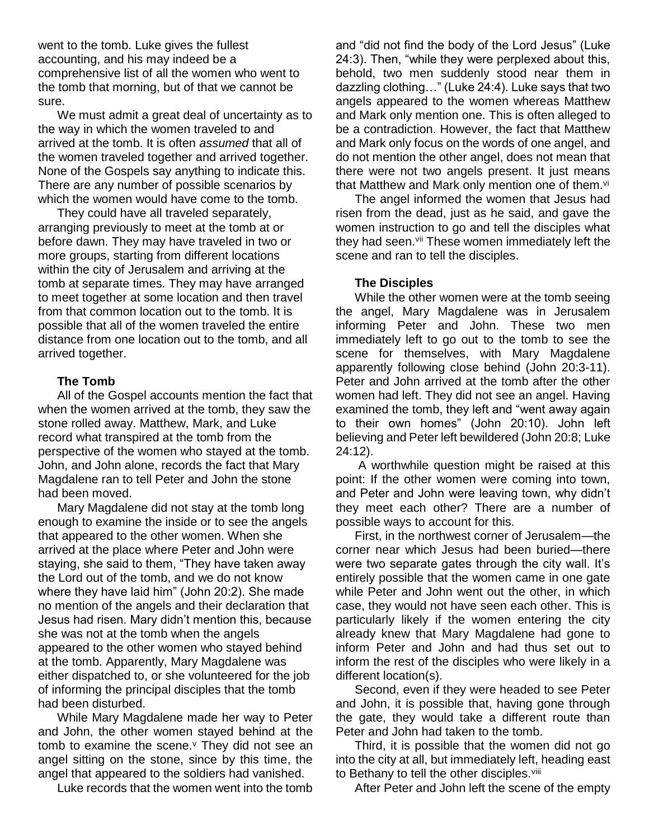went to the tomb. Luke gives the fullest accounting, and his may indeed be a comprehensive list of all the women who went to the tomb that morning, but of that we cannot be sure.

We must admit a great deal of uncertainty as to the way in which the women traveled to and arrived at the tomb. It is often *assumed* that all of the women traveled together and arrived together. None of the Gospels say anything to indicate this. There are any number of possible scenarios by which the women would have come to the tomb.

They could have all traveled separately, arranging previously to meet at the tomb at or before dawn. They may have traveled in two or more groups, starting from different locations within the city of Jerusalem and arriving at the tomb at separate times. They may have arranged to meet together at some location and then travel from that common location out to the tomb. It is possible that all of the women traveled the entire distance from one location out to the tomb, and all arrived together.

### **The Tomb**

All of the Gospel accounts mention the fact that when the women arrived at the tomb, they saw the stone rolled away. Matthew, Mark, and Luke record what transpired at the tomb from the perspective of the women who stayed at the tomb. John, and John alone, records the fact that Mary Magdalene ran to tell Peter and John the stone had been moved.

Mary Magdalene did not stay at the tomb long enough to examine the inside or to see the angels that appeared to the other women. When she arrived at the place where Peter and John were staying, she said to them, "They have taken away the Lord out of the tomb, and we do not know where they have laid him" (John 20:2). She made no mention of the angels and their declaration that Jesus had risen. Mary didn't mention this, because she was not at the tomb when the angels appeared to the other women who stayed behind at the tomb. Apparently, Mary Magdalene was either dispatched to, or she volunteered for the job of informing the principal disciples that the tomb had been disturbed.

While Mary Magdalene made her way to Peter and John, the other women stayed behind at the tomb to examine the scene. $<sup>y</sup>$  They did not see an</sup> angel sitting on the stone, since by this time, the angel that appeared to the soldiers had vanished.

Luke records that the women went into the tomb

and "did not find the body of the Lord Jesus" (Luke 24:3). Then, "while they were perplexed about this, behold, two men suddenly stood near them in dazzling clothing…" (Luke 24:4). Luke says that two angels appeared to the women whereas Matthew and Mark only mention one. This is often alleged to be a contradiction. However, the fact that Matthew and Mark only focus on the words of one angel, and do not mention the other angel, does not mean that there were not two angels present. It just means that Matthew and Mark only mention one of them.<sup>vi</sup>

The angel informed the women that Jesus had risen from the dead, just as he said, and gave the women instruction to go and tell the disciples what they had seen.vii These women immediately left the scene and ran to tell the disciples.

### **The Disciples**

While the other women were at the tomb seeing the angel, Mary Magdalene was in Jerusalem informing Peter and John. These two men immediately left to go out to the tomb to see the scene for themselves, with Mary Magdalene apparently following close behind (John 20:3-11). Peter and John arrived at the tomb after the other women had left. They did not see an angel. Having examined the tomb, they left and "went away again to their own homes" (John 20:10). John left believing and Peter left bewildered (John 20:8; Luke 24:12).

A worthwhile question might be raised at this point: If the other women were coming into town, and Peter and John were leaving town, why didn't they meet each other? There are a number of possible ways to account for this.

First, in the northwest corner of Jerusalem—the corner near which Jesus had been buried—there were two separate gates through the city wall. It's entirely possible that the women came in one gate while Peter and John went out the other, in which case, they would not have seen each other. This is particularly likely if the women entering the city already knew that Mary Magdalene had gone to inform Peter and John and had thus set out to inform the rest of the disciples who were likely in a different location(s).

Second, even if they were headed to see Peter and John, it is possible that, having gone through the gate, they would take a different route than Peter and John had taken to the tomb.

Third, it is possible that the women did not go into the city at all, but immediately left, heading east to Bethany to tell the other disciples.<sup>viii</sup>

After Peter and John left the scene of the empty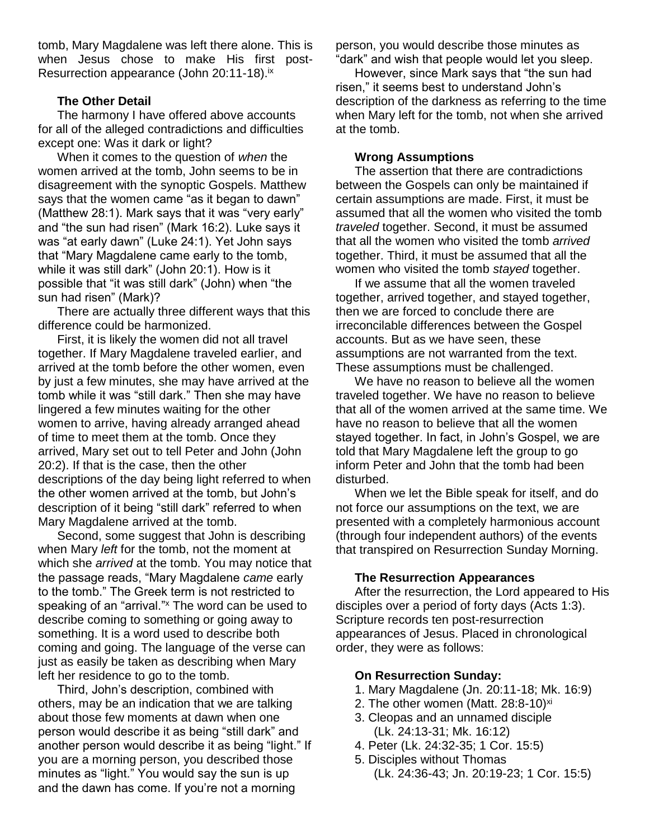tomb, Mary Magdalene was left there alone. This is when Jesus chose to make His first post-Resurrection appearance (John 20:11-18).<sup>ix</sup>

### **The Other Detail**

The harmony I have offered above accounts for all of the alleged contradictions and difficulties except one: Was it dark or light?

When it comes to the question of *when* the women arrived at the tomb, John seems to be in disagreement with the synoptic Gospels. Matthew says that the women came "as it began to dawn" (Matthew 28:1). Mark says that it was "very early" and "the sun had risen" (Mark 16:2). Luke says it was "at early dawn" (Luke 24:1). Yet John says that "Mary Magdalene came early to the tomb, while it was still dark" (John 20:1). How is it possible that "it was still dark" (John) when "the sun had risen" (Mark)?

There are actually three different ways that this difference could be harmonized.

First, it is likely the women did not all travel together. If Mary Magdalene traveled earlier, and arrived at the tomb before the other women, even by just a few minutes, she may have arrived at the tomb while it was "still dark." Then she may have lingered a few minutes waiting for the other women to arrive, having already arranged ahead of time to meet them at the tomb. Once they arrived, Mary set out to tell Peter and John (John 20:2). If that is the case, then the other descriptions of the day being light referred to when the other women arrived at the tomb, but John's description of it being "still dark" referred to when Mary Magdalene arrived at the tomb.

Second, some suggest that John is describing when Mary *left* for the tomb, not the moment at which she *arrived* at the tomb. You may notice that the passage reads, "Mary Magdalene *came* early to the tomb." The Greek term is not restricted to speaking of an "arrival." The word can be used to describe coming to something or going away to something. It is a word used to describe both coming and going. The language of the verse can just as easily be taken as describing when Mary left her residence to go to the tomb.

Third, John's description, combined with others, may be an indication that we are talking about those few moments at dawn when one person would describe it as being "still dark" and another person would describe it as being "light." If you are a morning person, you described those minutes as "light." You would say the sun is up and the dawn has come. If you're not a morning

person, you would describe those minutes as "dark" and wish that people would let you sleep.

However, since Mark says that "the sun had risen," it seems best to understand John's description of the darkness as referring to the time when Mary left for the tomb, not when she arrived at the tomb.

## **Wrong Assumptions**

The assertion that there are contradictions between the Gospels can only be maintained if certain assumptions are made. First, it must be assumed that all the women who visited the tomb *traveled* together. Second, it must be assumed that all the women who visited the tomb *arrived* together. Third, it must be assumed that all the women who visited the tomb *stayed* together.

If we assume that all the women traveled together, arrived together, and stayed together, then we are forced to conclude there are irreconcilable differences between the Gospel accounts. But as we have seen, these assumptions are not warranted from the text. These assumptions must be challenged.

We have no reason to believe all the women traveled together. We have no reason to believe that all of the women arrived at the same time. We have no reason to believe that all the women stayed together. In fact, in John's Gospel, we are told that Mary Magdalene left the group to go inform Peter and John that the tomb had been disturbed.

When we let the Bible speak for itself, and do not force our assumptions on the text, we are presented with a completely harmonious account (through four independent authors) of the events that transpired on Resurrection Sunday Morning.

### **The Resurrection Appearances**

After the resurrection, the Lord appeared to His disciples over a period of forty days (Acts 1:3). Scripture records ten post-resurrection appearances of Jesus. Placed in chronological order, they were as follows:

## **On Resurrection Sunday:**

- 1. Mary Magdalene (Jn. 20:11-18; Mk. 16:9)
- 2. The other women (Matt.  $28:8-10$ )<sup>xi</sup>
- 3. Cleopas and an unnamed disciple (Lk. 24:13-31; Mk. 16:12)
- 4. Peter (Lk. 24:32-35; 1 Cor. 15:5)
- 5. Disciples without Thomas
	- (Lk. 24:36-43; Jn. 20:19-23; 1 Cor. 15:5)